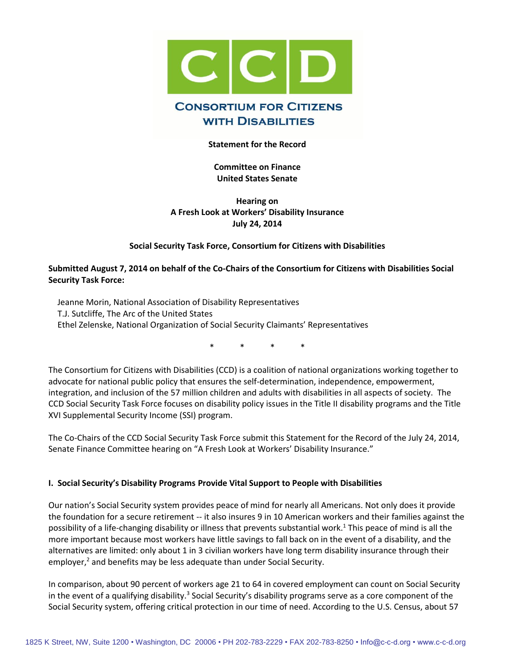

# **Statement for the Record**

**Committee on Finance United States Senate**

**Hearing on A Fresh Look at Workers' Disability Insurance July 24, 2014** 

#### **Social Security Task Force, Consortium for Citizens with Disabilities**

#### **Submitted August 7, 2014 on behalf of the Co-Chairs of the Consortium for Citizens with Disabilities Social Security Task Force:**

Jeanne Morin, National Association of Disability Representatives T.J. Sutcliffe, The Arc of the United States Ethel Zelenske, National Organization of Social Security Claimants' Representatives

\* \* \* \*

The Consortium for Citizens with Disabilities (CCD) is a coalition of national organizations working together to advocate for national public policy that ensures the self-determination, independence, empowerment, integration, and inclusion of the 57 million children and adults with disabilities in all aspects of society. The CCD Social Security Task Force focuses on disability policy issues in the Title II disability programs and the Title XVI Supplemental Security Income (SSI) program.

The Co-Chairs of the CCD Social Security Task Force submit this Statement for the Record of the July 24, 2014, Senate Finance Committee hearing on "A Fresh Look at Workers' Disability Insurance."

#### **I. Social Security's Disability Programs Provide Vital Support to People with Disabilities**

Our nation's Social Security system provides peace of mind for nearly all Americans. Not only does it provide the foundation for a secure retirement -- it also insures 9 in 10 American workers and their families against the possibility of a life-changing disability or illness that prevents substantial work.<sup>1</sup> This peace of mind is all the more important because most workers have little savings to fall back on in the event of a disability, and the alternatives are limited: only about 1 in 3 civilian workers have long term disability insurance through their employer, $<sup>2</sup>$  and benefits may be less adequate than under Social Security.</sup>

In comparison, about 90 percent of workers age 21 to 64 in covered employment can count on Social Security in the event of a qualifying disability.<sup>3</sup> Social Security's disability programs serve as a core component of the Social Security system, offering critical protection in our time of need. According to the U.S. Census, about 57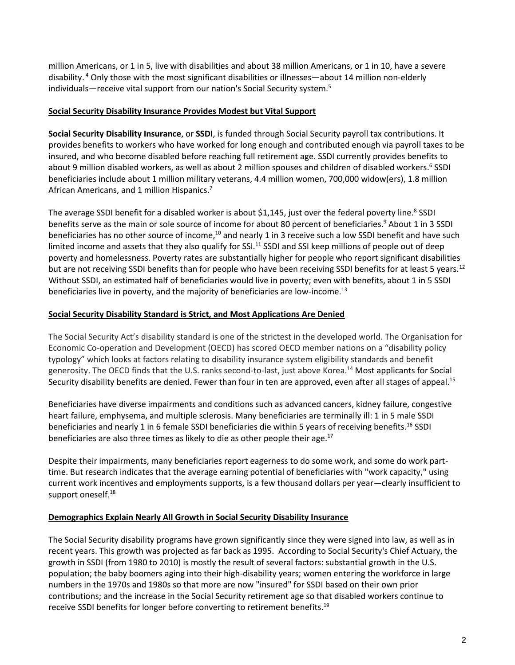million Americans, or 1 in 5, live with disabilities and about 38 million Americans, or 1 in 10, have a severe disability. <sup>4</sup> Only those with the most significant disabilities or illnesses—about 14 million non-elderly individuals—receive vital support from our nation's Social Security system.<sup>5</sup>

## **Social Security Disability Insurance Provides Modest but Vital Support**

**Social Security Disability Insurance**, or **SSDI**, is funded through Social Security payroll tax contributions. It provides benefits to workers who have worked for long enough and contributed enough via payroll taxes to be insured, and who become disabled before reaching full retirement age. SSDI currently provides benefits to about 9 million disabled workers, as well as about 2 million spouses and children of disabled workers.<sup>6</sup> SSDI beneficiaries include about 1 million military veterans, 4.4 million women, 700,000 widow(ers), 1.8 million African Americans, and 1 million Hispanics.<sup>7</sup>

The average SSDI benefit for a disabled worker is about \$1,145, just over the federal poverty line.<sup>8</sup> SSDI benefits serve as the main or sole source of income for about 80 percent of beneficiaries.<sup>9</sup> About 1 in 3 SSDI beneficiaries has no other source of income,<sup>10</sup> and nearly 1 in 3 receive such a low SSDI benefit and have such limited income and assets that they also qualify for SSI.<sup>11</sup> SSDI and SSI keep millions of people out of deep poverty and homelessness. Poverty rates are substantially higher for people who report significant disabilities but are not receiving SSDI benefits than for people who have been receiving SSDI benefits for at least 5 years.<sup>12</sup> Without SSDI, an estimated half of beneficiaries would live in poverty; even with benefits, about 1 in 5 SSDI beneficiaries live in poverty, and the majority of beneficiaries are low-income.<sup>13</sup>

## **Social Security Disability Standard is Strict, and Most Applications Are Denied**

The Social Security Act's disability standard is one of the strictest in the developed world. The Organisation for Economic Co-operation and Development (OECD) has scored OECD member nations on a "disability policy typology" which looks at factors relating to disability insurance system eligibility standards and benefit generosity. The OECD finds that the U.S. ranks second-to-last, just above Korea.<sup>14</sup> Most applicants for Social Security disability benefits are denied. Fewer than four in ten are approved, even after all stages of appeal.<sup>15</sup>

Beneficiaries have diverse impairments and conditions such as advanced cancers, kidney failure, congestive heart failure, emphysema, and multiple sclerosis. Many beneficiaries are terminally ill: 1 in 5 male SSDI beneficiaries and nearly 1 in 6 female SSDI beneficiaries die within 5 years of receiving benefits.<sup>16</sup> SSDI beneficiaries are also three times as likely to die as other people their age.<sup>17</sup>

Despite their impairments, many beneficiaries report eagerness to do some work, and some do work parttime. But research indicates that the average earning potential of beneficiaries with "work capacity," using current work incentives and employments supports, is a few thousand dollars per year—clearly insufficient to support oneself.<sup>18</sup>

# **Demographics Explain Nearly All Growth in Social Security Disability Insurance**

The Social Security disability programs have grown significantly since they were signed into law, as well as in recent years. This growth was projected as far back as 1995. According to Social Security's Chief Actuary, the growth in SSDI (from 1980 to 2010) is mostly the result of several factors: substantial growth in the U.S. population; the baby boomers aging into their high-disability years; women entering the workforce in large numbers in the 1970s and 1980s so that more are now "insured" for SSDI based on their own prior contributions; and the increase in the Social Security retirement age so that disabled workers continue to receive SSDI benefits for longer before converting to retirement benefits.<sup>19</sup>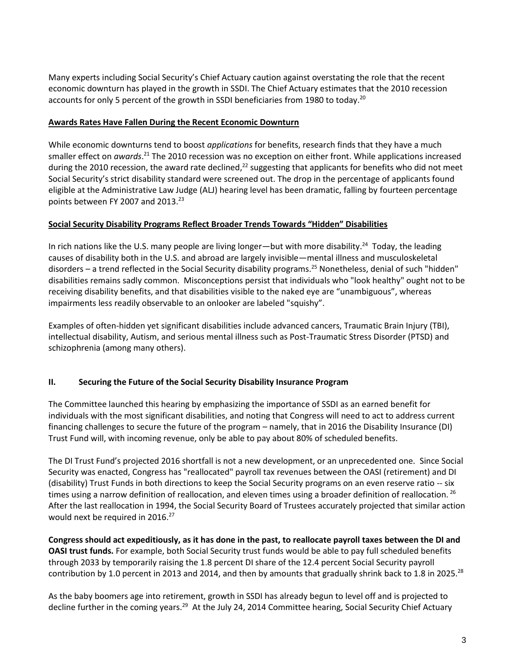Many experts including Social Security's Chief Actuary caution against overstating the role that the recent economic downturn has played in the growth in SSDI. The Chief Actuary estimates that the 2010 recession accounts for only 5 percent of the growth in SSDI beneficiaries from 1980 to today.<sup>20</sup>

# **Awards Rates Have Fallen During the Recent Economic Downturn**

While economic downturns tend to boost *applications* for benefits, research finds that they have a much smaller effect on *awards*.<sup>21</sup> The 2010 recession was no exception on either front. While applications increased during the 2010 recession, the award rate declined,<sup>22</sup> suggesting that applicants for benefits who did not meet Social Security's strict disability standard were screened out. The drop in the percentage of applicants found eligible at the Administrative Law Judge (ALJ) hearing level has been dramatic, falling by fourteen percentage points between FY 2007 and 2013. 23

# **Social Security Disability Programs Reflect Broader Trends Towards "Hidden" Disabilities**

In rich nations like the U.S. many people are living longer—but with more disability.<sup>24</sup> Today, the leading causes of disability both in the U.S. and abroad are largely invisible—mental illness and musculoskeletal disorders – a trend reflected in the Social Security disability programs.<sup>25</sup> Nonetheless, denial of such "hidden" disabilities remains sadly common. Misconceptions persist that individuals who "look healthy" ought not to be receiving disability benefits, and that disabilities visible to the naked eye are "unambiguous", whereas impairments less readily observable to an onlooker are labeled "squishy".

Examples of often-hidden yet significant disabilities include advanced cancers, Traumatic Brain Injury (TBI), intellectual disability, Autism, and serious mental illness such as Post-Traumatic Stress Disorder (PTSD) and schizophrenia (among many others).

# **II. Securing the Future of the Social Security Disability Insurance Program**

The Committee launched this hearing by emphasizing the importance of SSDI as an earned benefit for individuals with the most significant disabilities, and noting that Congress will need to act to address current financing challenges to secure the future of the program – namely, that in 2016 the Disability Insurance (DI) Trust Fund will, with incoming revenue, only be able to pay about 80% of scheduled benefits.

The DI Trust Fund's projected 2016 shortfall is not a new development, or an unprecedented one. Since Social Security was enacted, Congress has "reallocated" payroll tax revenues between the OASI (retirement) and DI (disability) Trust Funds in both directions to keep the Social Security programs on an even reserve ratio -- six times using a narrow definition of reallocation, and eleven times using a broader definition of reallocation. <sup>26</sup> After the last reallocation in 1994, the Social Security Board of Trustees accurately projected that similar action would next be required in 2016.<sup>27</sup>

**Congress should act expeditiously, as it has done in the past, to reallocate payroll taxes between the DI and OASI trust funds.** For example, both Social Security trust funds would be able to pay full scheduled benefits through 2033 by temporarily raising the 1.8 percent DI share of the 12.4 percent Social Security payroll contribution by 1.0 percent in 2013 and 2014, and then by amounts that gradually shrink back to 1.8 in 2025.<sup>28</sup>

As the baby boomers age into retirement, growth in SSDI has already begun to level off and is projected to decline further in the coming years.<sup>29</sup> At the July 24, 2014 Committee hearing, Social Security Chief Actuary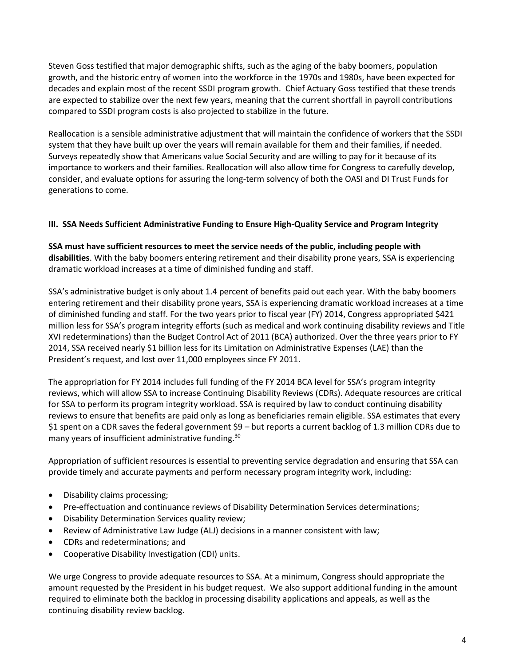Steven Goss testified that major demographic shifts, such as the aging of the baby boomers, population growth, and the historic entry of women into the workforce in the 1970s and 1980s, have been expected for decades and explain most of the recent SSDI program growth. Chief Actuary Goss testified that these trends are expected to stabilize over the next few years, meaning that the current shortfall in payroll contributions compared to SSDI program costs is also projected to stabilize in the future.

Reallocation is a sensible administrative adjustment that will maintain the confidence of workers that the SSDI system that they have built up over the years will remain available for them and their families, if needed. Surveys repeatedly show that Americans value Social Security and are willing to pay for it because of its importance to workers and their families. Reallocation will also allow time for Congress to carefully develop, consider, and evaluate options for assuring the long-term solvency of both the OASI and DI Trust Funds for generations to come.

# **III. SSA Needs Sufficient Administrative Funding to Ensure High-Quality Service and Program Integrity**

**SSA must have sufficient resources to meet the service needs of the public, including people with disabilities**. With the baby boomers entering retirement and their disability prone years, SSA is experiencing dramatic workload increases at a time of diminished funding and staff.

SSA's administrative budget is only about 1.4 percent of benefits paid out each year. With the baby boomers entering retirement and their disability prone years, SSA is experiencing dramatic workload increases at a time of diminished funding and staff. For the two years prior to fiscal year (FY) 2014, Congress appropriated \$421 million less for SSA's program integrity efforts (such as medical and work continuing disability reviews and Title XVI redeterminations) than the Budget Control Act of 2011 (BCA) authorized. Over the three years prior to FY 2014, SSA received nearly \$1 billion less for its Limitation on Administrative Expenses (LAE) than the President's request, and lost over 11,000 employees since FY 2011.

The appropriation for FY 2014 includes full funding of the FY 2014 BCA level for SSA's program integrity reviews, which will allow SSA to increase Continuing Disability Reviews (CDRs). Adequate resources are critical for SSA to perform its program integrity workload. SSA is required by law to conduct continuing disability reviews to ensure that benefits are paid only as long as beneficiaries remain eligible. SSA estimates that every \$1 spent on a CDR saves the federal government \$9 – but reports a current backlog of 1.3 million CDRs due to many years of insufficient administrative funding.<sup>30</sup>

Appropriation of sufficient resources is essential to preventing service degradation and ensuring that SSA can provide timely and accurate payments and perform necessary program integrity work, including:

- Disability claims processing;
- Pre-effectuation and continuance reviews of Disability Determination Services determinations;
- Disability Determination Services quality review;
- Review of Administrative Law Judge (ALJ) decisions in a manner consistent with law;
- CDRs and redeterminations; and
- Cooperative Disability Investigation (CDI) units.

We urge Congress to provide adequate resources to SSA. At a minimum, Congress should appropriate the amount requested by the President in his budget request. We also support additional funding in the amount required to eliminate both the backlog in processing disability applications and appeals, as well as the continuing disability review backlog.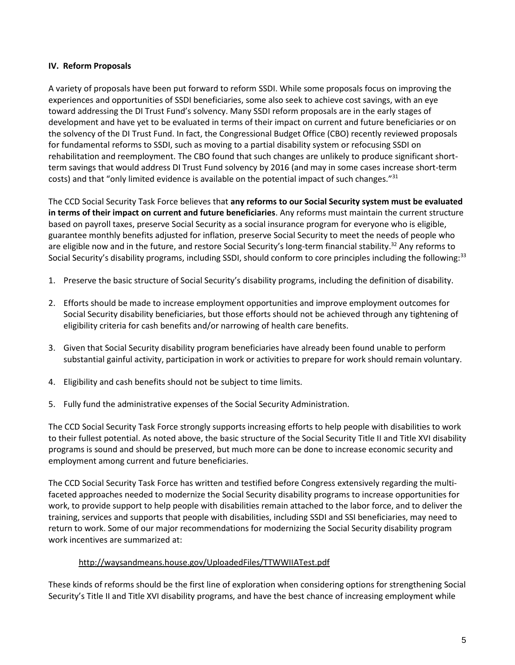## **IV. Reform Proposals**

A variety of proposals have been put forward to reform SSDI. While some proposals focus on improving the experiences and opportunities of SSDI beneficiaries, some also seek to achieve cost savings, with an eye toward addressing the DI Trust Fund's solvency. Many SSDI reform proposals are in the early stages of development and have yet to be evaluated in terms of their impact on current and future beneficiaries or on the solvency of the DI Trust Fund. In fact, the Congressional Budget Office (CBO) recently reviewed proposals for fundamental reforms to SSDI, such as moving to a partial disability system or refocusing SSDI on rehabilitation and reemployment. The CBO found that such changes are unlikely to produce significant shortterm savings that would address DI Trust Fund solvency by 2016 (and may in some cases increase short-term costs) and that "only limited evidence is available on the potential impact of such changes."<sup>31</sup>

The CCD Social Security Task Force believes that **any reforms to our Social Security system must be evaluated in terms of their impact on current and future beneficiaries**. Any reforms must maintain the current structure based on payroll taxes, preserve Social Security as a social insurance program for everyone who is eligible, guarantee monthly benefits adjusted for inflation, preserve Social Security to meet the needs of people who are eligible now and in the future, and restore Social Security's long-term financial stability.<sup>32</sup> Any reforms to Social Security's disability programs, including SSDI, should conform to core principles including the following:<sup>33</sup>

- 1. Preserve the basic structure of Social Security's disability programs, including the definition of disability.
- 2. Efforts should be made to increase employment opportunities and improve employment outcomes for Social Security disability beneficiaries, but those efforts should not be achieved through any tightening of eligibility criteria for cash benefits and/or narrowing of health care benefits.
- 3. Given that Social Security disability program beneficiaries have already been found unable to perform substantial gainful activity, participation in work or activities to prepare for work should remain voluntary.
- 4. Eligibility and cash benefits should not be subject to time limits.
- 5. Fully fund the administrative expenses of the Social Security Administration.

The CCD Social Security Task Force strongly supports increasing efforts to help people with disabilities to work to their fullest potential. As noted above, the basic structure of the Social Security Title II and Title XVI disability programs is sound and should be preserved, but much more can be done to increase economic security and employment among current and future beneficiaries.

The CCD Social Security Task Force has written and testified before Congress extensively regarding the multifaceted approaches needed to modernize the Social Security disability programs to increase opportunities for work, to provide support to help people with disabilities remain attached to the labor force, and to deliver the training, services and supports that people with disabilities, including SSDI and SSI beneficiaries, may need to return to work. Some of our major recommendations for modernizing the Social Security disability program work incentives are summarized at:

#### <http://waysandmeans.house.gov/UploadedFiles/TTWWIIATest.pdf>

These kinds of reforms should be the first line of exploration when considering options for strengthening Social Security's Title II and Title XVI disability programs, and have the best chance of increasing employment while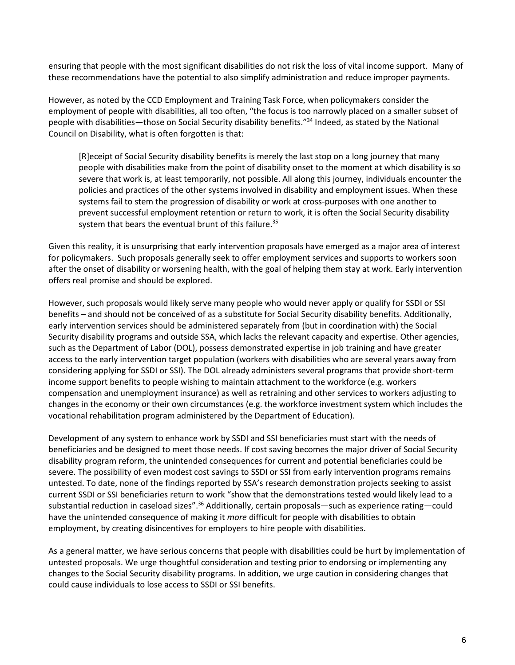ensuring that people with the most significant disabilities do not risk the loss of vital income support. Many of these recommendations have the potential to also simplify administration and reduce improper payments.

However, as noted by the CCD Employment and Training Task Force, when policymakers consider the employment of people with disabilities, all too often, "the focus is too narrowly placed on a smaller subset of people with disabilities—those on Social Security disability benefits."<sup>34</sup> Indeed, as stated by the National Council on Disability, what is often forgotten is that:

[R]eceipt of Social Security disability benefits is merely the last stop on a long journey that many people with disabilities make from the point of disability onset to the moment at which disability is so severe that work is, at least temporarily, not possible. All along this journey, individuals encounter the policies and practices of the other systems involved in disability and employment issues. When these systems fail to stem the progression of disability or work at cross-purposes with one another to prevent successful employment retention or return to work, it is often the Social Security disability system that bears the eventual brunt of this failure.<sup>35</sup>

Given this reality, it is unsurprising that early intervention proposals have emerged as a major area of interest for policymakers. Such proposals generally seek to offer employment services and supports to workers soon after the onset of disability or worsening health, with the goal of helping them stay at work. Early intervention offers real promise and should be explored.

However, such proposals would likely serve many people who would never apply or qualify for SSDI or SSI benefits – and should not be conceived of as a substitute for Social Security disability benefits. Additionally, early intervention services should be administered separately from (but in coordination with) the Social Security disability programs and outside SSA, which lacks the relevant capacity and expertise. Other agencies, such as the Department of Labor (DOL), possess demonstrated expertise in job training and have greater access to the early intervention target population (workers with disabilities who are several years away from considering applying for SSDI or SSI). The DOL already administers several programs that provide short-term income support benefits to people wishing to maintain attachment to the workforce (e.g. workers compensation and unemployment insurance) as well as retraining and other services to workers adjusting to changes in the economy or their own circumstances (e.g. the workforce investment system which includes the vocational rehabilitation program administered by the Department of Education).

Development of any system to enhance work by SSDI and SSI beneficiaries must start with the needs of beneficiaries and be designed to meet those needs. If cost saving becomes the major driver of Social Security disability program reform, the unintended consequences for current and potential beneficiaries could be severe. The possibility of even modest cost savings to SSDI or SSI from early intervention programs remains untested. To date, none of the findings reported by SSA's research demonstration projects seeking to assist current SSDI or SSI beneficiaries return to work "show that the demonstrations tested would likely lead to a substantial reduction in caseload sizes".<sup>36</sup> Additionally, certain proposals—such as experience rating—could have the unintended consequence of making it *more* difficult for people with disabilities to obtain employment, by creating disincentives for employers to hire people with disabilities.

As a general matter, we have serious concerns that people with disabilities could be hurt by implementation of untested proposals. We urge thoughtful consideration and testing prior to endorsing or implementing any changes to the Social Security disability programs. In addition, we urge caution in considering changes that could cause individuals to lose access to SSDI or SSI benefits.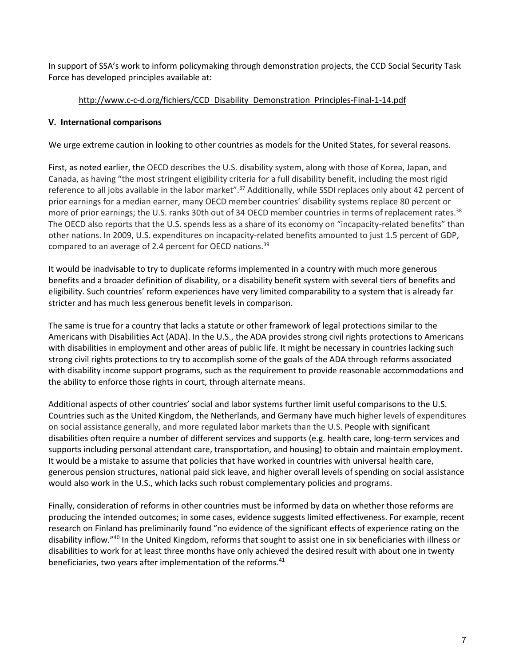In support of SSA's work to inform policymaking through demonstration projects, the CCD Social Security Task Force has developed principles available at:

# [http://www.c-c-d.org/fichiers/CCD\\_Disability\\_Demonstration\\_Principles-Final-1-14.pdf](http://www.c-c-d.org/fichiers/CCD_Disability_Demonstration_Principles-Final-1-14.pdf)

# **V. International comparisons**

We urge extreme caution in looking to other countries as models for the United States, for several reasons.

First, as noted earlier, the OECD describes the U.S. disability system, along with those of Korea, Japan, and Canada, as having "the most stringent eligibility criteria for a full disability benefit, including the most rigid reference to all jobs available in the labor market".<sup>37</sup> Additionally, while SSDI replaces only about 42 percent of prior earnings for a median earner, many OECD member countries' disability systems replace 80 percent or more of prior earnings; the U.S. ranks 30th out of 34 OECD member countries in terms of replacement rates.<sup>38</sup> The OECD also reports that the U.S. spends less as a share of its economy on "incapacity-related benefits" than other nations. In 2009, U.S. expenditures on incapacity-related benefits amounted to just 1.5 percent of GDP, compared to an average of 2.4 percent for OECD nations.<sup>39</sup>

It would be inadvisable to try to duplicate reforms implemented in a country with much more generous benefits and a broader definition of disability, or a disability benefit system with several tiers of benefits and eligibility. Such countries' reform experiences have very limited comparability to a system that is already far stricter and has much less generous benefit levels in comparison.

The same is true for a country that lacks a statute or other framework of legal protections similar to the Americans with Disabilities Act (ADA). In the U.S., the ADA provides strong civil rights protections to Americans with disabilities in employment and other areas of public life. It might be necessary in countries lacking such strong civil rights protections to try to accomplish some of the goals of the ADA through reforms associated with disability income support programs, such as the requirement to provide reasonable accommodations and the ability to enforce those rights in court, through alternate means.

Additional aspects of other countries' social and labor systems further limit useful comparisons to the U.S. Countries such as the United Kingdom, the Netherlands, and Germany have much higher levels of expenditures on social assistance generally, and more regulated labor markets than the U.S. People with significant disabilities often require a number of different services and supports (e.g. health care, long-term services and supports including personal attendant care, transportation, and housing) to obtain and maintain employment. It would be a mistake to assume that policies that have worked in countries with universal health care, generous pension structures, national paid sick leave, and higher overall levels of spending on social assistance would also work in the U.S., which lacks such robust complementary policies and programs.

Finally, consideration of reforms in other countries must be informed by data on whether those reforms are producing the intended outcomes; in some cases, evidence suggests limited effectiveness. For example, recent research on Finland has preliminarily found "no evidence of the significant effects of experience rating on the disability inflow."<sup>40</sup> In the United Kingdom, reforms that sought to assist one in six beneficiaries with illness or disabilities to work for at least three months have only achieved the desired result with about one in twenty beneficiaries, two years after implementation of the reforms.<sup>41</sup>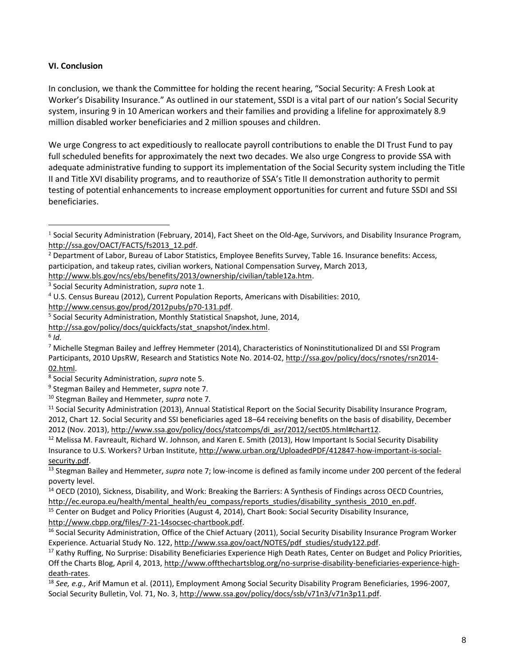## **VI. Conclusion**

In conclusion, we thank the Committee for holding the recent hearing, "Social Security: A Fresh Look at Worker's Disability Insurance." As outlined in our statement, SSDI is a vital part of our nation's Social Security system, insuring 9 in 10 American workers and their families and providing a lifeline for approximately 8.9 million disabled worker beneficiaries and 2 million spouses and children.

We urge Congress to act expeditiously to reallocate payroll contributions to enable the DI Trust Fund to pay full scheduled benefits for approximately the next two decades. We also urge Congress to provide SSA with adequate administrative funding to support its implementation of the Social Security system including the Title II and Title XVI disability programs, and to reauthorize of SSA's Title II demonstration authority to permit testing of potential enhancements to increase employment opportunities for current and future SSDI and SSI beneficiaries.

 $\overline{a}$ 

 $12$  Melissa M. Favreault, Richard W. Johnson, and Karen E. Smith (2013), How Important Is Social Security Disability Insurance to U.S. Workers? Urban Institute[, http://www.urban.org/UploadedPDF/412847-how-important-is-social](http://www.urban.org/UploadedPDF/412847-how-important-is-social-security.pdf)[security.pdf.](http://www.urban.org/UploadedPDF/412847-how-important-is-social-security.pdf)

<sup>13</sup> Stegman Bailey and Hemmeter, *supra* note 7; low-income is defined as family income under 200 percent of the federal poverty level.

<sup>14</sup> OECD (2010), Sickness, Disability, and Work: Breaking the Barriers: A Synthesis of Findings across OECD Countries, [http://ec.europa.eu/health/mental\\_health/eu\\_compass/reports\\_studies/disability\\_synthesis\\_2010\\_en.pdf.](http://ec.europa.eu/health/mental_health/eu_compass/reports_studies/disability_synthesis_2010_en.pdf)

<sup>15</sup> Center on Budget and Policy Priorities (August 4, 2014), Chart Book: Social Security Disability Insurance,

[http://www.cbpp.org/files/7-21-14socsec-chartbook.pdf.](http://www.cbpp.org/files/7-21-14socsec-chartbook.pdf)

<sup>17</sup> Kathy Ruffing, No Surprise: Disability Beneficiaries Experience High Death Rates, Center on Budget and Policy Priorities, Off the Charts Blog, April 4, 2013[, http://www.offthechartsblog.org/no-surprise-disability-beneficiaries-experience-high](http://www.offthechartsblog.org/no-surprise-disability-beneficiaries-experience-high-death-rates)[death-rates.](http://www.offthechartsblog.org/no-surprise-disability-beneficiaries-experience-high-death-rates)

 $^1$  Social Security Administration (February, 2014), Fact Sheet on the Old-Age, Survivors, and Disability Insurance Program, [http://ssa.gov/OACT/FACTS/fs2013\\_12.pdf.](http://ssa.gov/OACT/FACTS/fs2013_12.pdf)

<sup>&</sup>lt;sup>2</sup> Department of Labor, Bureau of Labor Statistics, Employee Benefits Survey, Table 16. Insurance benefits: Access, participation, and takeup rates, civilian workers, National Compensation Survey, March 2013,

[http://www.bls.gov/ncs/ebs/benefits/2013/ownership/civilian/table12a.htm.](http://www.bls.gov/ncs/ebs/benefits/2013/ownership/civilian/table12a.htm)

<sup>3</sup> Social Security Administration, *supra* note 1.

<sup>4</sup> U.S. Census Bureau (2012), Current Population Reports, Americans with Disabilities: 2010,

[http://www.census.gov/prod/2012pubs/p70-131.pdf.](http://www.census.gov/prod/2012pubs/p70-131.pdf)

<sup>&</sup>lt;sup>5</sup> Social Security Administration, Monthly Statistical Snapshot, June, 2014,

[http://ssa.gov/policy/docs/quickfacts/stat\\_snapshot/index.html.](http://ssa.gov/policy/docs/quickfacts/stat_snapshot/index.html)

<sup>6</sup> *Id.*

<sup>&</sup>lt;sup>7</sup> Michelle Stegman Bailey and Jeffrey Hemmeter (2014), Characteristics of Noninstitutionalized DI and SSI Program Participants, 2010 UpsRW, Research and Statistics Note No. 2014-02, [http://ssa.gov/policy/docs/rsnotes/rsn2014-](http://ssa.gov/policy/docs/rsnotes/rsn2014-02.html) [02.html.](http://ssa.gov/policy/docs/rsnotes/rsn2014-02.html)

<sup>8</sup> Social Security Administration, *supra* note 5.

<sup>9</sup> Stegman Bailey and Hemmeter, s*upra* note 7.

<sup>10</sup> Stegman Bailey and Hemmeter, *supra* note 7*.*

 $11$  Social Security Administration (2013), Annual Statistical Report on the Social Security Disability Insurance Program, 2012, Chart 12. Social Security and SSI beneficiaries aged 18–64 receiving benefits on the basis of disability, December 2012 (Nov. 2013), [http://www.ssa.gov/policy/docs/statcomps/di\\_asr/2012/sect05.html#chart12.](http://www.ssa.gov/policy/docs/statcomps/di_asr/2012/sect05.html#chart12) 

<sup>&</sup>lt;sup>16</sup> Social Security Administration, Office of the Chief Actuary (2011), Social Security Disability Insurance Program Worker Experience. Actuarial Study No. 122, [http://www.ssa.gov/oact/NOTES/pdf\\_studies/study122.pdf.](http://www.ssa.gov/oact/NOTES/pdf_studies/study122.pdf)

<sup>18</sup> *See, e.g.,* Arif Mamun et al. (2011), Employment Among Social Security Disability Program Beneficiaries, 1996-2007, Social Security Bulletin, Vol. 71, No. 3[, http://www.ssa.gov/policy/docs/ssb/v71n3/v71n3p11.pdf.](http://www.ssa.gov/policy/docs/ssb/v71n3/v71n3p11.pdf)